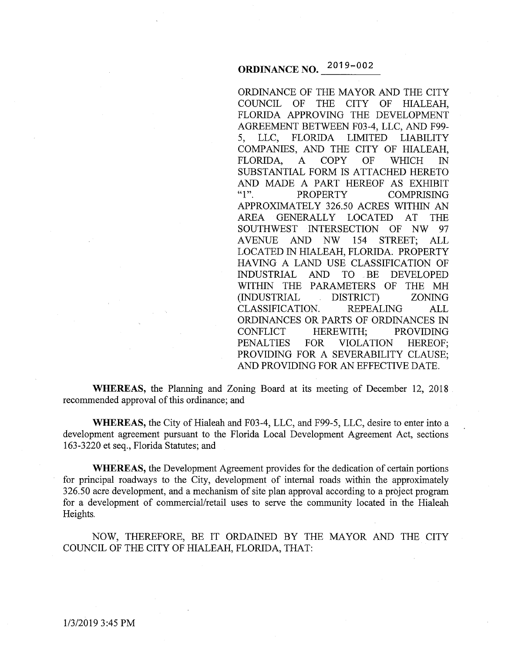# **ORDINANCE NO.**  $2019 - 002$

ORDINANCE OF THE MAYOR AND THE CITY COUNCIL OF THE CITY OF HIALEAH, FLORIDA APPROVING THE DEVELOPMENT AGREEMENT BETWEEN F03-4, LLC, AND F99- 5, LLC, FLORIDA LIMITED LIABILITY COMPANIES, AND THE CITY OF HIALEAH, FLORIDA, A COPY OF WHICH IN SUBSTANTIAL FORM IS ATTACHED HERETO AND MADE A PART HEREOF AS EXHIBIT "1". PROPERTY COMPRISING APPROXIMATELY 326.50 ACRES WITHIN AN AREA GENERALLY LOCATED AT THE SOUTHWEST INTERSECTION OF NW 97 A VENUE AND NW 154 STREET; ALL LOCATED IN HIALEAH, FLORIDA. PROPERTY HAVING A LAND USE CLASSIFICATION OF INDUSTRIAL AND TO BE DEVELOPED WITHIN THE PARAMETERS OF THE MH (INDUSTRIAL DISTRICT) ZONING CLASSIFICATION. REPEALING ALL ORDINANCES OR PARTS OF ORDINANCES IN CONFLICT HEREWITH; PROVIDING PENALTIES FOR VIOLATION HEREOF; PROVIDING FOR A SEVERABILITY CLAUSE; AND PROVIDING FOR AN EFFECTIVE DATE.

**WHEREAS,** the Planning and Zoning Board at its meeting of December 12, 2018 recommended approval of this ordinance; and

**WHEREAS,** the City of Hialeah and F03-4, LLC, and F99-5, LLC, desire to enter into a development agreement pursuant to the Florida Local Development Agreement Act, sections 163-3220 et seq., Florida Statutes; and

**WHEREAS,** the Development Agreement provides for the dedication of certain portions for principal roadways to the City, development of internal roads within the approximately 326.50 acre development, and a mechanism of site plan approval according to a project program for a development of commercial/retail uses to serve the community located in the Hialeah Heights.

NOW, THEREFORE, BE IT ORDAINED BY THE MAYOR AND THE CITY COUNCIL OF THE CITY OF HIALEAH, FLORIDA, THAT: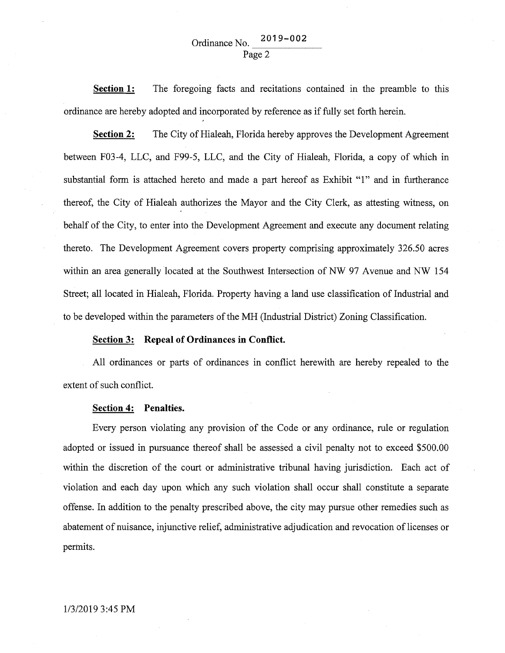**Section 1:**  The foregoing facts and recitations contained in the preamble to this ordinance are hereby adopted and incorporated by reference as if fully set forth herein.

**Section 2:** The City of Hialeah, Florida hereby approves the Development Agreement between F03-4, LLC, and F99-5, LLC, and the City of Hialeah, Florida, a copy of which in substantial form is attached hereto and made a part hereof as Exhibit "1" and in furtherance thereof, the City of Hialeah authorizes the Mayor and the City Clerk, as attesting witness, on behalf of the City, to enter into the Development Agreement and execute any document relating thereto. The Development Agreement covers property comprising approximately 326.50 acres within an area generally located at the Southwest Intersection of NW 97 Avenue and NW 154 Street; all located in Hialeah, Florida. Property having a land use classification of Industrial and to be developed within the parameters of the MH (Industrial District) Zoning Classification.

#### **Section 3: Repeal of Ordinances in Conflict.**

All ordinances or parts of ordinances in conflict herewith are hereby repealed to the extent of such conflict.

#### **Section 4: Penalties.**

Every person violating any provision of the Code or any ordinance, rule or regulation adopted or issued in pursuance thereof shall be assessed a civil penalty not to exceed \$500.00 within the discretion of the court or administrative tribunal having jurisdiction. Each act of violation and each day upon which any such violation shall occur shall constitute a separate offense. In addition to the penalty prescribed above, the city may pursue other remedies such as abatement of nuisance, injunctive relief, administrative adjudication and revocation of licenses or permits.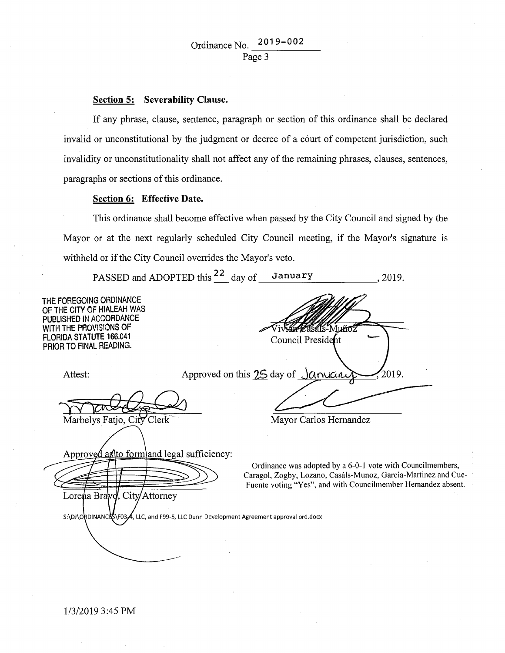#### Section 5: Severability Clause.

If any phrase, clause, sentence, paragraph or section of this ordinance shall be declared invalid or unconstitutional by the judgment or decree of a court of competent jurisdiction, such invalidity or unconstitutionality shall not affect any of the remaining phrases, clauses, sentences, paragraphs or sections of this ordinance.

#### Section 6: Effective Date.

This ordinance shall become effective when passed by the City Council and signed by the Mayor or at the next regularly scheduled City Council meeting, if the Mayor's signature is withheld or if the City Council overrides the Mayor's veto.

PASSED and ADOPTED this  $\frac{22}{\text{day of}}$  day of January ., 2019.

THE FOREGOING ORDINANCE OF THE CITY OF HIALEAH WAS PUBLISHED IN ACCORDANCE WITH THE PROVISIONS OF Muñoz FLORIDA STATUTE 166.041 Council President PRIOR TO FINAL READING. Approved on this 25 day of Januar 2019. Attest: Marbelys Fatjo, City Clerk Mayor Carlos Hernandez Approved as to form and legal sufficiency: Ordinance was adopted by a 6-0-1 vote with Councilmembers, Caragol, Zogby, Lozano, Casals-Munoz, Garcia-Martinez and Cue-Fuente voting "Yes", and with Councilmember Hernandez absent. Lorena Bravd, City/Attorney S:\DJ\ORDINANCLS\F03A, LLC, and F99-5, LLC Dunn Development Agreement approval ord.docx

1/3/2019 3:45PM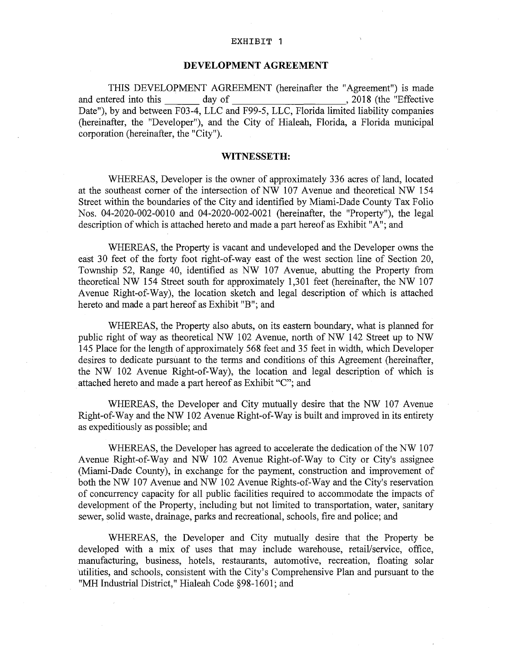#### EXHIBIT 1

### **DEVELOPMENT AGREEMENT**

THIS DEVELOPMENT AGREEMENT (hereinafter the "Agreement") is made and entered into this day of , 2018 (the "Effective" Date"), by and between F03-4, LLC and F99-5, LLC, Florida limited liability companies (hereinafter, the "Developer"), and the City of Hialeah, Florida, a Florida municipal corporation (hereinafter, the "City").

#### **WITNESSETH:**

WHEREAS, Developer is the owner of approximately 336 acres of land, located at the southeast corner of the intersection of NW 107 Avenue and theoretical NW 154 Street within the boundaries of the City and identified by Miami-Dade County Tax Folio Nos. 04-2020-002-0010 and 04-2020-002-0021 (hereinafter, the "Property"), the legal description of which is attached hereto and made a part hereof as Exhibit "A"; and

WHEREAS, the Property is vacant and undeveloped and the Developer owns the east 30 feet of the forty foot right-of-way east of the west section line of Section 20, Township 52, Range 40, identified as NW 107 Avenue, abutting the Property from theoretical NW 154 Street south for approximately 1,301 feet (hereinafter, the NW 107 Avenue Right-of-Way), the location sketch and legal description of which is attached hereto and made a part hereof as Exhibit "B"; and

WHEREAS, the Property also abuts, on its eastern boundary, what is planned for public right of way as theoretical NW 102 Avenue, north of NW 142 Street up to NW 145 Place for the length of approximately 568 feet and 35 feet in width, which Developer desires to dedicate pursuant to the terms and conditions of this Agreement (hereinafter, the NW 102 Avenue Right-of-Way), the location and legal description of which is attached hereto and made a part hereof as Exhibit "C"; and

WHEREAS, the Developer and City mutually desire that the NW 107 Avenue Right-of-Way and the NW 102 Avenue Right-of-Way is built and improved in its entirety as expeditiously as possible; and

WHEREAS, the Developer has agreed to accelerate the dedication of the NW 107 Avenue Right-of-Way and NW 102 Avenue Right-of-Way to City or City's assignee (Miami-Dade County), in exchange for the payment, construction and improvement of both the NW 107 Avenue and NW 102 Avenue Rights-of-Way and the City's reservation of concurrency capacity for all public facilities required to accommodate the impacts of development of the Property, including but not limited to transportation, water, sanitary sewer, solid waste, drainage, parks and recreational, schools, fire and police; and

WHEREAS, the Developer and City mutually desire that the Property be developed with a mix of uses that may include warehouse, retail/service, office, manufacturing, business, hotels, restaurants, automotive, recreation, floating solar utilities, and schools, consistent with the City's Comprehensive Plan and pursuant to the "MH Industrial District," Hialeah Code §98-1601; and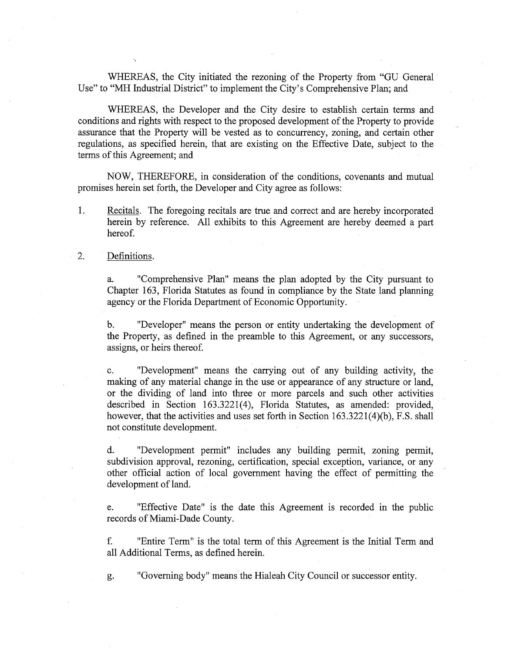WHEREAS, the City initiated the rezoning of the Property from "GU General Use" to "MH Industrial District" to implement the City's Comprehensive Plan; and

WHEREAS, the Developer and the City desire to establish certain terms and conditions and rights with respect to the proposed development of the Property to provide assurance that the Property will be vested as to concurrency, zoning, and certain other regulations, as specified herein, that are existing on the Effective Date, subject to the terms of this Agreement; and

NOW, THEREFORE, in consideration of the conditions, covenants and mutual promises herein set forth, the Developer and City agree as follows:

1. Recitals. The foregoing recitals are true and correct and are hereby incorporated herein by reference. All exhibits to this Agreement are hereby deemed a part hereof.

## 2. Definitions.

a. "Comprehensive Plan" means the plan adopted by the City pursuant to Chapter 163, Florida Statutes as found in compliance by the State land planning agency or the Florida Department of Economic Opportunity.

b. "Developer" means the person or entity undertaking the development of the Property, as defined in the preamble to this Agreement, or any successors, assigns, or heirs thereof.

c. "Development" means the carrying out of any building activity, the making of any material change in the use or appearance of any structure or land, or the dividing of land into three or more parcels and such other activities described in Section 163.3221(4), Florida Statutes, as amended: provided, however, that the activities and uses set forth in Section 163.3221(4)(b), F.S. shall not constitute development.

d. "Development permit" includes any building permit, zoning permit, subdivision approval, rezoning, certification, special exception, variance, or any other official action of local government having the effect of permitting the development of land.

e. "Effective Date" is the date this Agreement is recorded in the public records of Miami-Dade County.

f. "Entire Term" is the total term of this Agreement is the Initial Term and all Additional Terms, as defined herein.

g. "Governing body" means the Hialeah City Council or successor entity.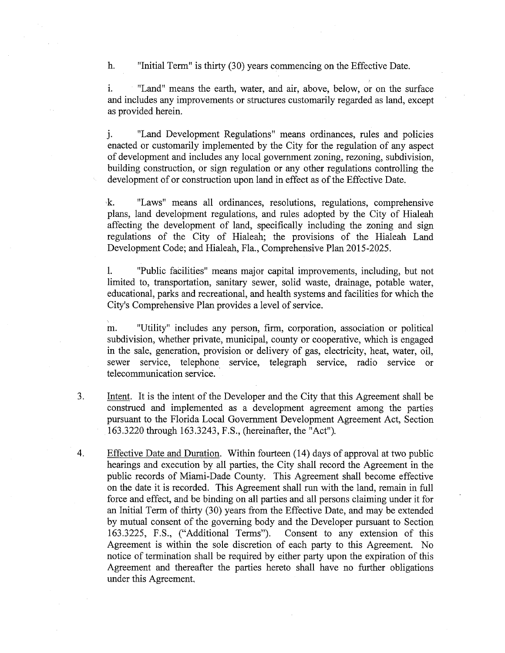h. "Initial Term" is thirty (30) years commencing on the Effective Date.

i. "Land" means the earth, water, and air, above, below, or on the surface and includes any improvements or structures customarily regarded as land, except as provided herein.

j. "Land Development Regulations" means ordinances, rules and policies enacted or customarily implemented by the City for the regulation of any aspect of development and includes any local government zoning, rezoning, subdivision, building construction, or sign regulation or any other regulations controlling the development of or construction upon land in effect as of the Effective Date.

k. "Laws" means all ordinances, resolutions, regulations, comprehensive plans, land development regulations, and rules adopted by the City of Hialeah affecting the development of land, specifically including the zoning and sign regulations of the City of Hialeah; the provisions of the Hialeah Land Development Code; and Hialeah, Fla., Comprehensive Plan 2015-2025.

1. "Public facilities" means major capital improvements, including, but not limited to, transportation, sanitary sewer, solid waste, drainage, potable water, educational, parks and recreational, and health systems and facilities for which the City's Comprehensive Plan provides a level of service.

m. "Utility" includes any person, firm, corporation, association or political subdivision, whether private, municipal, county or cooperative, which is engaged in the sale, generation, provision or delivery of gas, electricity, heat, water, oil, sewer service, telephone service, telegraph service, radio service or telecommunication service. '

- 3. Intent. It is the intent of the Developer and the City that this Agreement shall be construed and implemented as a development agreement among the parties pursuant to the Florida Local Government Development Agreement Act, Section 163.3220 through 163.3243, F.S., (hereinafter, the "Act").
- 4. Effective Date and Duration. Within fourteen (14) days of approval at two public hearings and execution by all parties, the City shall record the Agreement in the public records of Miami-Dade County. This Agreement shall become effective on the date it is recorded. This Agreement shall run with the land, remain in full force and effect, and be binding on all parties and all persons claiming under it for an Initial Term of thirty (30) years from the Effective Date, and may be extended by mutual consent of the governing body and the Developer pursuant to Section 163.3225, F.S., ("Additional Terms"). Consent to any extension of this Agreement is within the sole discretion of each party to this Agreement. No notice of termination shall be required by either party upon the expiration of this Agreement and thereafter the parties hereto shall have no further obligations under this Agreement.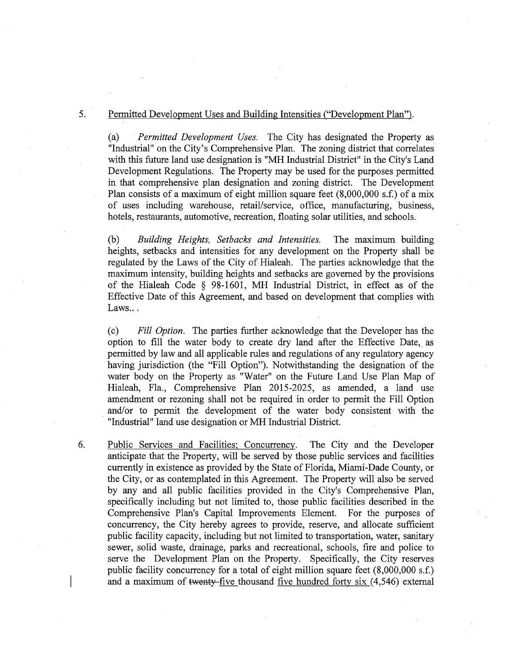## 5. Permitted Development Uses and Building Intensities ("Development Plan").

(a) *Permitted Development Uses.* The City has designated the Property as "Industrial" on the City's Comprehensive Plan. The zoning district that correlates with this future land use designation is "MH Industrial District" in the City's Land Development Regulations. The Property may be used for the purposes permitted in that comprehensive plan designation and zoning district. The Development Plan consists of a maximum of eight million square feet (8,000,000 s.f.) of a mix of uses including warehouse, retail/service, office, manufacturing, business, hotels, restaurants, automotive, recreation, floating solar utilities, and schools.

(b) *Building Heights, Setbacks and Intensities.* The maximum building heights, setbacks and intensities for any development on the Property shall be regulated by the Laws of the City of Hialeah. The parties acknowledge that the maximum intensity, building heights and setbacks are governed by the provisions of the Hialeah Code § 98-1601, MH Industrial District, in effect as of the Effective Date of this Agreement, and based on development that complies with Laws...

(c) *Fill Option.* The parties further acknowledge that the Developer has the option to fill the water body to create dry land after the Effective Date, as permitted by law and all applicable rules and regulations of any regulatory agency having jurisdiction (the "Fill Option"). Notwithstanding the designation of the water body on the Property as "Water" on the Future Land Use Plan Map of Hialeah, Fla., Comprehensive Plan 2015-2025, as amended, a land use amendment or rezoning shall not be required in order to permit the Fill Option . and/or to permit the development of the water body consistent with the "Industrial" land use designation or MH Industrial District.

6. Public Services and Facilities; Concurrency. The City and the Developer anticipate that the Property, will be served by those public services and facilities currently in existence as provided by the State of Florida, Miami-Dade County, or the City, or as contemplated in this Agreement. The Property will also be served by any and all public facilities provided in the City's Comprehensive Plan, specifically including but not limited to, those public facilities described in the Comprehensive Plan's Capital Improvements Element. For the purposes of concurrency, the City hereby agrees to provide, reserve, and allocate sufficient public facility capacity, including but not limited to transportation, water, sanitary sewer, solid waste, drainage, parks and recreational, schools, fire and police to serve the Development Plan on the Property. Specifically, the City reserves public facility concurrency for a total of eight million square feet (8,000,000 s.f.) and a maximum of twenty-five thousand five hundred forty six  $(4,546)$  external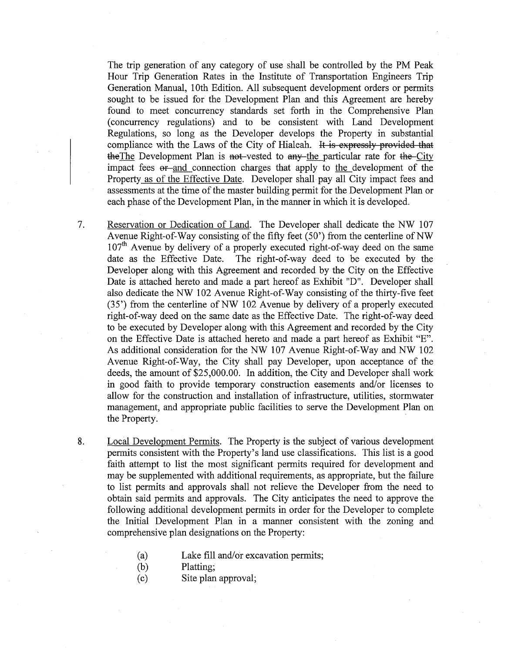The trip generation of any category of use shall be controlled by the PM Peak Hour Trip Generation Rates in the Institute of Transportation Engineers Trip Generation Manual, 1Oth Edition. All subsequent development orders or permits sought to be issued for the Development Plan and this Agreement are hereby found to meet concurrency standards set forth in the Comprehensive Plan (concurrency regulations) and to be consistent with Land Development Regulations, so long as the Developer develops the Property in substantial compliance with the Laws of the City of Hialeah. It is expressly provided that the The Development Plan is not-vested to any-the particular rate for the-City impact fees er-and connection charges that apply to the development of the Property as of the Effective Date. Developer shall pay all City impact fees and assessments at the time of the master building permit for the Development Plan or each phase of the Development Plan, in the manner in which it is developed.

7. Reservation or Dedication of Land. The Developer shall dedicate the NW 107 Avenue Right-of-Way consisting of the fifty feet  $(50')$  from the centerline of NW  $107<sup>th</sup>$  Avenue by delivery of a properly executed right-of-way deed on the same date as the Effective Date. The right-of-way deed to be executed by the Developer along with this Agreement and recorded by the City on the Effective Date is attached hereto and made a part hereof as Exhibit "D". Developer shall also dedicate the NW 102 Avenue Right-of-Way consisting of the thirty-five feet  $(35)$  from the centerline of NW 102 Avenue by delivery of a properly executed right-of-way deed on the same date as the Effective Date. The right-of-way deed to be executed by Developer along with this Agreement and recorded by the City on the Effective Date is attached hereto and made a part hereof as Exhibit "E". As additional consideration for the NW 107 Avenue Right-of-Way and NW 102 Avenue Right-of-Way, the City shall pay Developer, upon acceptance of the deeds, the amount of \$25,000.00. In addition, the City and Developer shall work in good faith to provide temporary construction easements and/or licenses to allow for the construction and installation of infrastructure, utilities, stormwater management, and appropriate public facilities to serve the Development Plan on the Property.

8. Local Development Permits. The Property is the subject of various development permits consistent with the Property's land use classifications. This list is a good faith attempt to list the most significant permits required for development and may be supplemented with additional requirements, as appropriate, but the failure to list permits and approvals shall not relieve the Developer from the need to obtain said permits and approvals. The City anticipates the need to approve the following additional development permits in order for the Developer to complete the Initial Development Plan in a manner consistent with the zoning and comprehensive plan designations on the Property:

- (a) Lake fill and/or excavation permits;
- (b) Platting;
- (c) Site plan approval;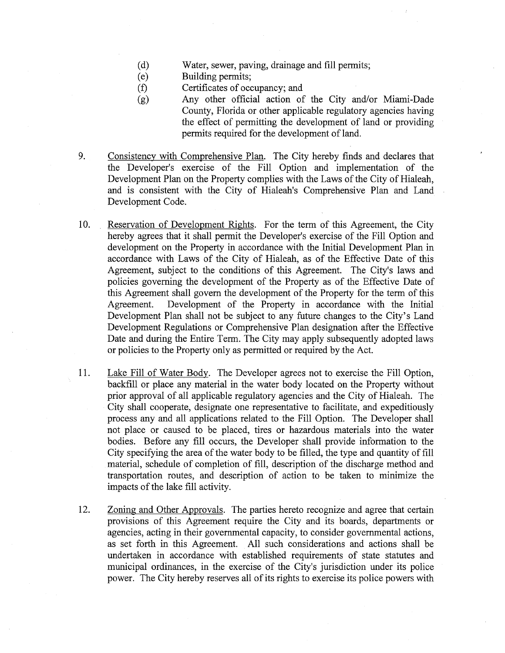- (d) Water, sewer, paving, drainage and fill permits;
- (e) Building permits;
- (f) Certificates of occupancy; and
- (g) Any other official action of the City and/or Miami-Dade County, Florida or other applicable regulatory agencies having the effect of permitting the development of land or providing permits required for the development of land.
- 9. Consistency with Comprehensive Plan. The City hereby finds and declares that the Developer's exercise of the Fill Option and implementation of the Development Plan on the Property complies with the Laws of the City of Hialeah, and is consistent with the City of Hialeah's Comprehensive Plan and Land Development Code.
- 10. Reservation of Development Rights. For the term of this Agreement, the City hereby agrees that it shall permit the Developer's exercise of the Fill Option and development on the Property in accordance with the Initial Development Plan in accordance with Laws of the City of Hialeah, as of the Effective Date of this Agreement, subject to the conditions of this Agreement. The City's laws and policies governing the development of the Property as of the Effective Date of this Agreement shall govern the development of the Property for the term of this Agreement. Development of the Property in accordance with the Initial Development Plan shall not be subject to any future changes to the City's Land Development Regulations or Comprehensive Plan designation after the Effective Date and during the Entire Term. The City may apply subsequently adopted laws or policies to the Property only as permitted or required by the Act.
- 11. Lake Fill of Water Body. The Developer agrees not to exercise the Fill Option, backfill or place any material in the water body located on the Property without prior approval of all applicable regulatory agencies and the City of Hialeah. The City shall cooperate, designate one representative to facilitate, and expeditiously process any and all applications related to the Fill Option. The Developer shall not place or caused to be placed, tires or hazardous materials into the water bodies. Before any fill occurs, the Developer shall provide information to the City specifying the area of the water body to be filled, the type and quantity of fill material, schedule of completion of fill, description of the discharge method and transportation routes, and description of action to be taken to minimize the impacts of the lake fill activity.
- 12. Zoning and Other Approvals. The parties hereto recognize and agree that certain provisions of this Agreement require the City and its boards, departments or agencies, acting in their governmental capacity, to consider governmental actions, as set forth in this Agreement. All such considerations and actions shall be undertaken in accordance with established requirements of state statutes and municipal ordinances, in the exercise of the City's jurisdiction under its police power. The City hereby reserves all of its rights to exercise its police powers with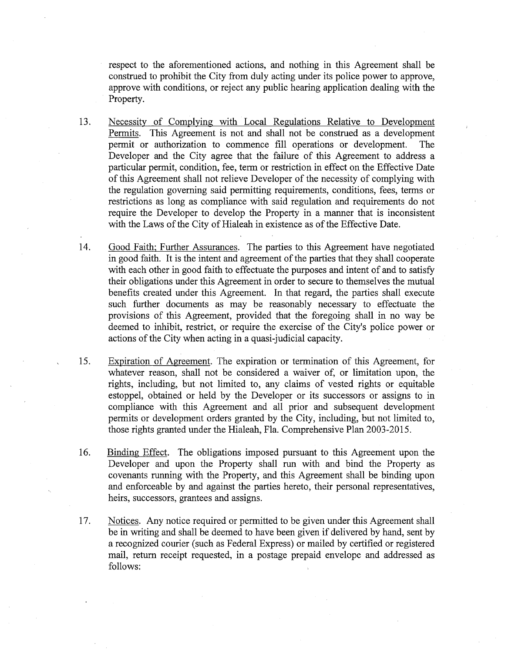respect to the aforementioned actions, and nothing in this Agreement shall be construed to prohibit the City from duly acting under its police power to approve, approve with conditions, or reject any public hearing application dealing with the Property.

- 13. Necessity of Complying with Local Regulations Relative to Development Permits. This Agreement is not and shall not be construed as a development permit or authorization to commence fill operations or development. The Developer and the City agree that the failure of this Agreement to address a particular permit, condition, fee, term or restriction in effect on the Effective Date of this Agreement shall not relieve Developer of the necessity of complying with the regulation governing said permitting requirements, conditions, fees, terms or restrictions as long as compliance with said regulation and requirements do not require the Developer to develop the Property in a manner that is inconsistent with the Laws of the City of Hialeah in existence as of the Effective Date.
- 14. Good Faith; Further Assurances. The parties to this Agreement have negotiated in good faith. It is the intent and agreement of the parties that they shall cooperate with each other in good faith to effectuate the purposes and intent of and to satisfy their obligations under this Agreement in order to secure to themselves the mutual benefits created under this Agreement. In that regard, the parties shall execute such further documents as may be reasonably necessary to effectuate the provisions of this Agreement, provided that the foregoing shall in no way be deemed to inhibit, restrict, or require the exercise of the City's police power or actions of the City when acting in a quasi-judicial capacity.
- 15. Expiration of Agreement. The expiration or termination of this Agreement, for whatever reason, shall not be considered a waiver of, or limitation upon, the rights, including, but not limited to, any claims of vested rights or equitable estoppel, obtained or held by the Developer or its successors or assigns to in compliance with this Agreement and all prior and subsequent development permits or development orders granted by the City, including, but not limited to, those rights granted under the Hialeah, Fla. Comprehensive Plan 2003-2015.
- 16. Binding Effect. The obligations imposed pursuant to this Agreement upon the Developer and upon the Property shall run with and bind the Property as covenants running with the Property, and this Agreement shall be binding upon and enforceable by and against the parties hereto, their personal representatives, heirs, successors, grantees and assigns.
- 17. Notices. Any notice required or permitted to be given under this Agreement shall be in writing and shall be deemed to have been given if delivered by hand, sent by a recognized courier (such as Federal Express) or mailed by certified or registered mail, return receipt requested, in a postage prepaid envelope and addressed as follows: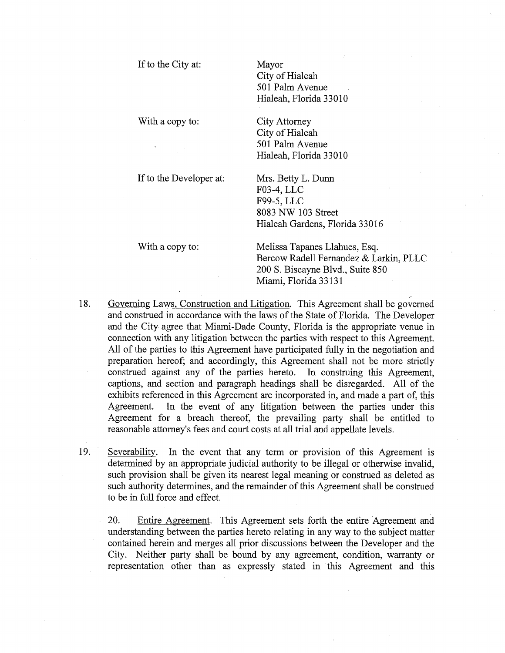If to the City at:

Mayor City of Hialeah 501 Palm Avenue Hialeah, Florida 33010

With a copy to:

City of Hialeah 501 Palm Avenue Hialeah, Florida 33010

City Attorney

If to the Developer at:

Mrs. Betty L. Dunn F03-4, LLC F99-5, LLC 8083 NW 103 Street Hialeah Gardens, Florida 33016

With a copy to:

Melissa Tapanes Llahues, Esq. Bercow Radell Fernandez & Larkin, PLLC 200 S. Biscayne Blvd., Suite 850 Miami, Florida 33131

- 18. Governing Laws, Construction and Litigation. This Agreement shall be governed and construed in accordance with the laws of the State of Florida. The Developer and the City agree that Miami-Dade County, Florida is the appropriate venue in connection with any litigation between the parties with respect to this Agreement. All of the parties to this Agreement have participated fully in the negotiation and preparation hereof; and accordingly, this Agreement shall not be more strictly construed against any of the parties hereto. In construing this Agreement, captions, and section and paragraph headings shall be disregarded. All of the exhibits referenced in this Agreement are incorporated in, and made a part of, this Agreement. In the event of any litigation between the parties under this Agreement for a breach thereof, the prevailing party shall be entitled to reasonable attorney's fees and court costs at all trial and appellate levels.
- 19. Severability. In the event that any term or provision of this Agreement is determined by an appropriate judicial authority to be illegal or otherwise invalid, such provision shall be given its nearest legal meaning or construed as deleted as such authority determines, and the remainder of this Agreement shall be construed to be in full force and effect.

20. Entire Agreement. This Agreement sets forth the entire Agreement and understanding between the parties hereto relating in any way to the subject matter contained herein and merges all prior discussions between the Developer and the City. Neither party shall be bound by any agreement, condition, warranty or representation other than as expressly stated in this Agreement and this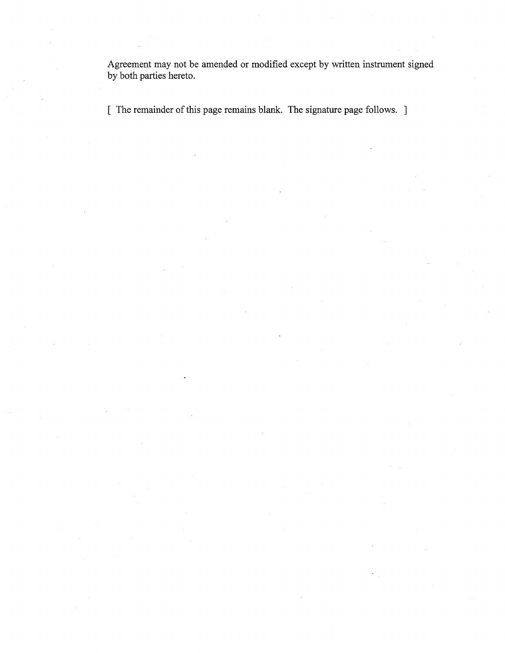Agreement may not be amended or modified except by written instrument signed by both parties hereto.

[ The remainder of this page remains blank. The signature page follows. ]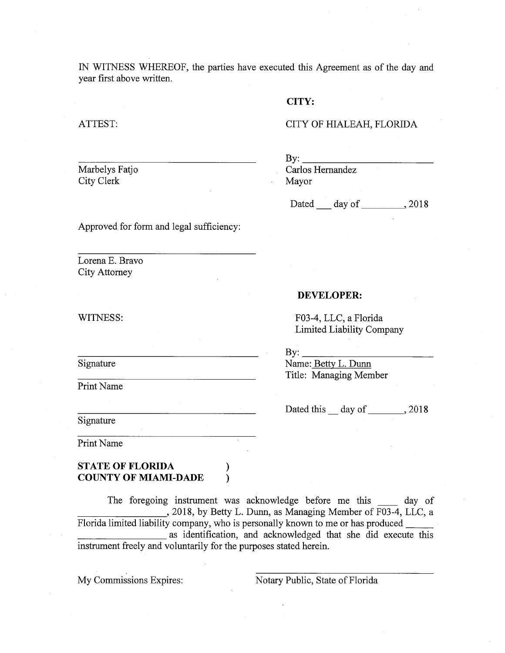IN WITNESS WHEREOF, the parties have executed this Agreement as of the day and year first above written.

# **CITY:**

### ATTEST:

# CITY OF HIALEAH, FLORIDA

Marbelys Fatjo City Clerk

 $\mathbf{By:}$ Carlos Hernandez Mayor

Dated day of \_\_\_\_\_\_\_\_, 2018

Approved for form and legal sufficiency:

Lorena E. Bravo City Attorney

#### WITNESS:

Signature

Print Name

Signature

Print Name

# **STATE OF FLORIDA** ) **COUNTY OF MIAMI-DADE** )

The foregoing instrument was acknowledge before me this day of  $\Box$ , 2018, by Betty L. Dunn, as Managing Member of  $\overline{F03-4}$ , LLC, a Florida limited liability company, who is personally known to me or has produced \_\_ as identification, and acknowledged that she did execute this instrument freely and voluntarily for the purposes stated herein.

My Commissions Expires: Notary Public, State of Florida

Limited Liability Company  $By:$ 

F03-4, LLC, a Florida

Name: Betty L. Dunn Title: Managing Member

Dated this\_ day of \_\_\_\_\_\_ , 2018

**DEVELOPER:**